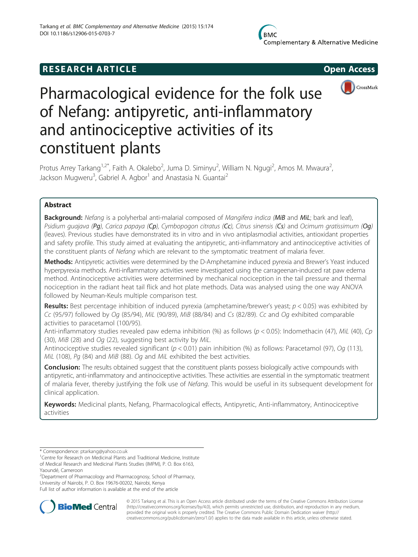# **RESEARCH ARTICLE CONSUMING A RESEARCH ARTICLE**



# Pharmacological evidence for the folk use of Nefang: antipyretic, anti-inflammatory and antinociceptive activities of its constituent plants

Protus Arrey Tarkang<sup>1,2\*</sup>, Faith A. Okalebo<sup>2</sup>, Juma D. Siminyu<sup>2</sup>, William N. Ngugi<sup>2</sup>, Amos M. Mwaura<sup>2</sup> , Jackson Mugweru<sup>3</sup>, Gabriel A. Agbor<sup>1</sup> and Anastasia N. Guantai<sup>2</sup>

# Abstract

Background: Nefang is a polyherbal anti-malarial composed of Mangifera indica (MiB and MiL; bark and leaf), Psidium quajava (Pq), Carica papaya (Cp), Cymbopogon citratus (Cc), Citrus sinensis (Cs) and Ocimum gratissimum (Oq) (leaves). Previous studies have demonstrated its in vitro and in vivo antiplasmodial activities, antioxidant properties and safety profile. This study aimed at evaluating the antipyretic, anti-inflammatory and antinociceptive activities of the constituent plants of Nefang which are relevant to the symptomatic treatment of malaria fever.

Methods: Antipyretic activities were determined by the D-Amphetamine induced pyrexia and Brewer's Yeast induced hyperpyrexia methods. Anti-inflammatory activities were investigated using the carrageenan-induced rat paw edema method. Antinociceptive activities were determined by mechanical nociception in the tail pressure and thermal nociception in the radiant heat tail flick and hot plate methods. Data was analysed using the one way ANOVA followed by Neuman-Keuls multiple comparison test.

**Results:** Best percentage inhibition of induced pyrexia (amphetamine/brewer's yeast;  $p < 0.05$ ) was exhibited by Cc (95/97) followed by Og (85/94), MiL (90/89), MiB (88/84) and Cs (82/89). Cc and Og exhibited comparable activities to paracetamol (100/95).

Anti-inflammatory studies revealed paw edema inhibition (%) as follows ( $p < 0.05$ ): Indomethacin (47), MiL (40), Cp (30), MiB (28) and Og (22), suggesting best activity by MiL.

Antinociceptive studies revealed significant ( $p < 0.01$ ) pain inhibition (%) as follows: Paracetamol (97), Oq (113), MiL (108), Pq (84) and MiB (88). Oq and MiL exhibited the best activities.

**Conclusion:** The results obtained suggest that the constituent plants possess biologically active compounds with antipyretic, anti-inflammatory and antinociceptive activities. These activities are essential in the symptomatic treatment of malaria fever, thereby justifying the folk use of Nefang. This would be useful in its subsequent development for clinical application.

Keywords: Medicinal plants, Nefang, Pharmacological effects, Antipyretic, Anti-inflammatory, Antinociceptive activities

<sup>2</sup> Department of Pharmacology and Pharmacognosy, School of Pharmacy,

University of Nairobi, P. O. Box 19676-00202, Nairobi, Kenya

Full list of author information is available at the end of the article



© 2015 Tarkang et al. This is an Open Access article distributed under the terms of the Creative Commons Attribution License [\(http://creativecommons.org/licenses/by/4.0\)](http://creativecommons.org/licenses/by/4.0), which permits unrestricted use, distribution, and reproduction in any medium, provided the original work is properly credited. The Creative Commons Public Domain Dedication waiver [\(http://](http://creativecommons.org/publicdomain/zero/1.0/) [creativecommons.org/publicdomain/zero/1.0/\)](http://creativecommons.org/publicdomain/zero/1.0/) applies to the data made available in this article, unless otherwise stated.

<sup>\*</sup> Correspondence: [ptarkang@yahoo.co.uk](mailto:ptarkang@yahoo.co.uk) <sup>1</sup>

<sup>&</sup>lt;sup>1</sup> Centre for Research on Medicinal Plants and Traditional Medicine, Institute of Medical Research and Medicinal Plants Studies (IMPM), P. O. Box 6163, Yaoundé, Cameroon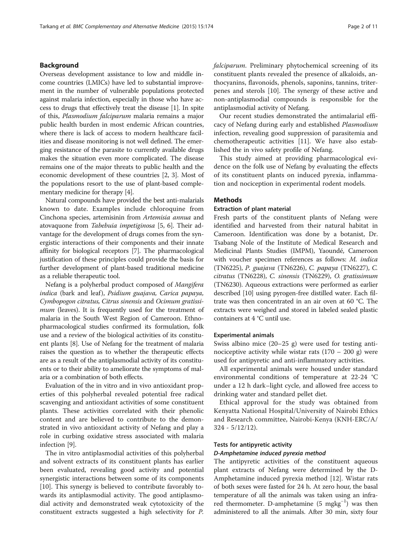# Background

Overseas development assistance to low and middle income countries (LMICs) have led to substantial improvement in the number of vulnerable populations protected against malaria infection, especially in those who have access to drugs that effectively treat the disease [[1\]](#page-9-0). In spite of this, Plasmodium falciparum malaria remains a major public health burden in most endemic African countries, where there is lack of access to modern healthcare facilities and disease monitoring is not well defined. The emerging resistance of the parasite to currently available drugs makes the situation even more complicated. The disease remains one of the major threats to public health and the economic development of these countries [\[2, 3](#page-9-0)]. Most of the populations resort to the use of plant-based complementary medicine for therapy [[4\]](#page-9-0).

Natural compounds have provided the best anti-malarials known to date. Examples include chloroquine from Cinchona species, artemisinin from Artemisia annua and atovaquone from Tabebuia impetiginosa [[5](#page-9-0), [6](#page-9-0)]. Their advantage for the development of drugs comes from the synergistic interactions of their components and their innate affinity for biological receptors [[7](#page-9-0)]. The pharmacological justification of these principles could provide the basis for further development of plant-based traditional medicine as a reliable therapeutic tool.

Nefang is a polyherbal product composed of Mangifera indica (bark and leaf), Psidium guajava, Carica papaya, Cymbopogon citratus, Citrus sinensis and Ocimum gratissimum (leaves). It is frequently used for the treatment of malaria in the South West Region of Cameroon. Ethnopharmacological studies confirmed its formulation, folk use and a review of the biological activities of its constituent plants [\[8\]](#page-9-0). Use of Nefang for the treatment of malaria raises the question as to whether the therapeutic effects are as a result of the antiplasmodial activity of its constituents or to their ability to ameliorate the symptoms of malaria or a combination of both effects.

Evaluation of the in vitro and in vivo antioxidant properties of this polyherbal revealed potential free radical scavenging and antioxidant activities of some constituent plants. These activities correlated with their phenolic content and are believed to contribute to the demonstrated in vivo antioxidant activity of Nefang and play a role in curbing oxidative stress associated with malaria infection [[9\]](#page-9-0).

The in vitro antiplasmodial activities of this polyherbal and solvent extracts of its constituent plants has earlier been evaluated, revealing good activity and potential synergistic interactions between some of its components [[10\]](#page-9-0). This synergy is believed to contribute favorably towards its antiplasmodial activity. The good antiplasmodial activity and demonstrated weak cytotoxicity of the constituent extracts suggested a high selectivity for P. falciparum. Preliminary phytochemical screening of its constituent plants revealed the presence of alkaloids, anthocyanins, flavonoids, phenols, saponins, tannins, triterpenes and sterols [[10\]](#page-9-0). The synergy of these active and non-antiplasmodial compounds is responsible for the antiplasmodial activity of Nefang.

Our recent studies demonstrated the antimalarial efficacy of Nefang during early and established Plasmodium infection, revealing good suppression of parasitemia and chemotherapeutic activities [[11\]](#page-9-0). We have also established the in vivo safety profile of Nefang.

This study aimed at providing pharmacological evidence on the folk use of Nefang by evaluating the effects of its constituent plants on induced pyrexia, inflammation and nociception in experimental rodent models.

# **Methods**

# Extraction of plant material

Fresh parts of the constituent plants of Nefang were identified and harvested from their natural habitat in Cameroon. Identification was done by a botanist, Dr. Tsabang Nole of the Institute of Medical Research and Medicinal Plants Studies (IMPM), Yaoundé, Cameroon with voucher specimen references as follows: M. indica (TN6225), P. guajava (TN6226), C. papaya (TN6227), C. citratus (TN6228), C. sinensis (TN6229), O. gratissimum (TN6230). Aqueous extractions were performed as earlier described [[10](#page-9-0)] using pyrogen-free distilled water. Each filtrate was then concentrated in an air oven at 60 °C. The extracts were weighed and stored in labeled sealed plastic containers at 4 °C until use.

# Experimental animals

Swiss albino mice (20–25 g) were used for testing antinociceptive activity while wistar rats  $(170 - 200)$  g) were used for antipyretic and anti-inflammatory activities.

All experimental animals were housed under standard environmental conditions of temperature at 22-24 °C under a 12 h dark–light cycle, and allowed free access to drinking water and standard pellet diet.

Ethical approval for the study was obtained from Kenyatta National Hospital/University of Nairobi Ethics and Research committee, Nairobi-Kenya (KNH-ERC/A/ 324 - 5/12/12).

#### Tests for antipyretic activity

# D-Amphetamine induced pyrexia method

The antipyretic activities of the constituent aqueous plant extracts of Nefang were determined by the D-Amphetamine induced pyrexia method [[12](#page-9-0)]. Wistar rats of both sexes were fasted for 24 h. At zero hour, the basal temperature of all the animals was taken using an infrared thermometer. D-amphetamine (5 mgkg<sup>-1</sup>) was then administered to all the animals. After 30 min, sixty four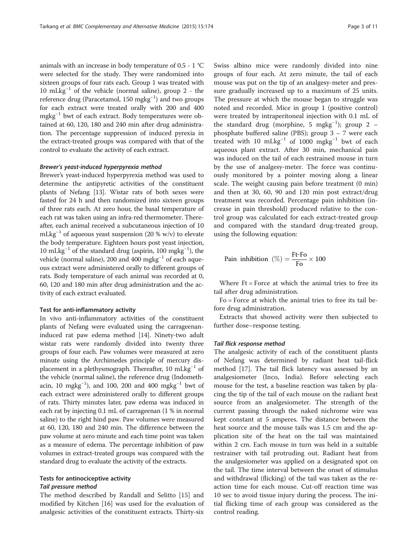animals with an increase in body temperature of 0.5 - 1 °C were selected for the study. They were randomized into sixteen groups of four rats each. Group 1 was treated with 10 mLkg−<sup>1</sup> of the vehicle (normal saline), group 2 - the reference drug (Paracetamol, 150 mgkg<sup>-1</sup>) and two groups for each extract were treated orally with 200 and 400 mgkg−<sup>1</sup> bwt of each extract. Body temperatures were obtained at 60, 120, 180 and 240 min after drug administration. The percentage suppression of induced pyrexia in the extract-treated groups was compared with that of the control to evaluate the activity of each extract.

#### Brewer's yeast-induced hyperpyrexia method

Brewer's yeast-induced hyperpyrexia method was used to determine the antipyretic activities of the constituent plants of Nefang [\[13\]](#page-9-0). Wistar rats of both sexes were fasted for 24 h and then randomized into sixteen groups of three rats each. At zero hour, the basal temperature of each rat was taken using an infra-red thermometer. Thereafter, each animal received a subcutaneous injection of 10 mLkg<sup>-1</sup> of aqueous yeast suspension (20 % w/v) to elevate the body temperature. Eighteen hours post yeast injection, 10 mLkg−<sup>1</sup> of the standard drug (aspirin, 100 mgkg−<sup>1</sup> ), the vehicle (normal saline), 200 and 400 mgkg−<sup>1</sup> of each aqueous extract were administered orally to different groups of rats. Body temperature of each animal was recorded at 0, 60, 120 and 180 min after drug administration and the activity of each extract evaluated.

#### Test for anti-inflammatory activity

In vivo anti-inflammatory activities of the constituent plants of Nefang were evaluated using the carrageenaninduced rat paw edema method [\[14](#page-9-0)]. Ninety-two adult wistar rats were randomly divided into twenty three groups of four each. Paw volumes were measured at zero minute using the Archimedes principle of mercury displacement in a plethysmograph. Thereafter, 10 mLkg<sup>-1</sup> of the vehicle (normal saline), the reference drug (Indomethacin, 10 mgkg<sup>-1</sup>), and 100, 200 and 400 mgkg<sup>-1</sup> bwt of each extract were administered orally to different groups of rats. Thirty minutes later, paw edema was induced in each rat by injecting 0.1 mL of carrageenan (1 % in normal saline) to the right hind paw. Paw volumes were measured at 60, 120, 180 and 240 min. The difference between the paw volume at zero minute and each time point was taken as a measure of edema. The percentage inhibition of paw volumes in extract-treated groups was compared with the standard drug to evaluate the activity of the extracts.

# Tests for antinociceptive activity

# Tail pressure method

The method described by Randall and Selitto [\[15\]](#page-9-0) and modified by Kitchen [[16\]](#page-9-0) was used for the evaluation of analgesic activities of the constituent extracts. Thirty-six Swiss albino mice were randomly divided into nine groups of four each. At zero minute, the tail of each mouse was put on the tip of an analgesy-meter and pressure gradually increased up to a maximum of 25 units. The pressure at which the mouse began to struggle was noted and recorded. Mice in group 1 (positive control) were treated by intraperitoneal injection with 0.1 mL of the standard drug (morphine, 5 mgkg−<sup>1</sup> ); group 2 – phosphate buffered saline (PBS); group 3 – 7 were each treated with 10 mLkg<sup>-1</sup> of 1000 mgkg<sup>-1</sup> bwt of each aqueous plant extract. After 30 min, mechanical pain was induced on the tail of each restrained mouse in turn by the use of analgesy-meter. The force was continuously monitored by a pointer moving along a linear scale. The weight causing pain before treatment (0 min) and then at 30, 60, 90 and 120 min post extract/drug treatment was recorded. Percentage pain inhibition (increase in pain threshold) produced relative to the control group was calculated for each extract-treated group and compared with the standard drug-treated group, using the following equation:

$$
Pain inhibition (\%) = \frac{Ft\text{-}Fo}{Fo} \times 100
$$

Where  $Ft = Force$  at which the animal tries to free its tail after drug administration.

Fo = Force at which the animal tries to free its tail before drug administration.

Extracts that showed activity were then subjected to further dose–response testing.

#### Tail flick response method

The analgesic activity of each of the constituent plants of Nefang was determined by radiant heat tail-flick method [[17\]](#page-9-0). The tail flick latency was assessed by an analgesiometer (Inco, India). Before selecting each mouse for the test, a baseline reaction was taken by placing the tip of the tail of each mouse on the radiant heat source from an analgesiometer. The strength of the current passing through the naked nichrome wire was kept constant at 5 amperes. The distance between the heat source and the mouse tails was 1.5 cm and the application site of the heat on the tail was maintained within 2 cm. Each mouse in turn was held in a suitable restrainer with tail protruding out. Radiant heat from the analgesiometer was applied on a designated spot on the tail. The time interval between the onset of stimulus and withdrawal (flicking) of the tail was taken as the reaction time for each mouse. Cut-off reaction time was 10 sec to avoid tissue injury during the process. The initial flicking time of each group was considered as the control reading.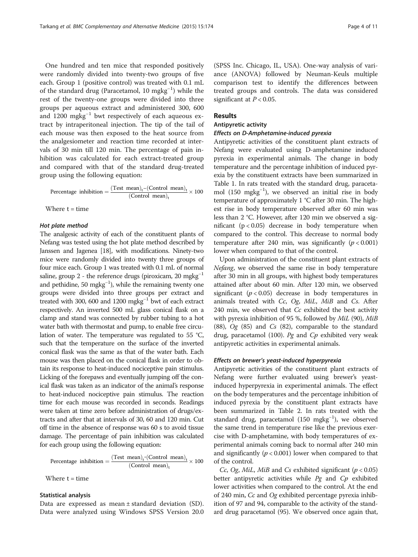One hundred and ten mice that responded positively were randomly divided into twenty-two groups of five each. Group 1 (positive control) was treated with 0.1 mL of the standard drug (Paracetamol, 10 mgkg<sup>-1</sup>) while the rest of the twenty-one groups were divided into three groups per aqueous extract and administered 300, 600 and 1200 mgkg−<sup>1</sup> bwt respectively of each aqueous extract by intraperitoneal injection. The tip of the tail of each mouse was then exposed to the heat source from the analgesiometer and reaction time recorded at intervals of 30 min till 120 min. The percentage of pain inhibition was calculated for each extract-treated group and compared with that of the standard drug-treated group using the following equation:

Percentage inhibition  $= \frac{(\text{Test mean})_t - (\text{Control mean})_t}{(\text{Control mean})}$  $\frac{(Content)}{\text{[Control mean)}}_t \times 100$ 

Where  $t = time$ 

## Hot plate method

The analgesic activity of each of the constituent plants of Nefang was tested using the hot plate method described by Janssen and Jagenea [\[18\]](#page-10-0), with modifications. Ninety-two mice were randomly divided into twenty three groups of four mice each. Group 1 was treated with 0.1 mL of normal saline, group 2 - the reference drugs (piroxicam, 20 mgkg<sup>-1</sup> and pethidine, 50 mgkg<sup>-1</sup>), while the remaining twenty one groups were divided into three groups per extract and treated with 300, 600 and 1200 mgkg<sup>-1</sup> bwt of each extract respectively. An inverted 500 mL glass conical flask on a clamp and stand was connected by rubber tubing to a hot water bath with thermostat and pump, to enable free circulation of water. The temperature was regulated to 55 °C, such that the temperature on the surface of the inverted conical flask was the same as that of the water bath. Each mouse was then placed on the conical flask in order to obtain its response to heat-induced nociceptive pain stimulus. Licking of the forepaws and eventually jumping off the conical flask was taken as an indicator of the animal's response to heat-induced nociceptive pain stimulus. The reaction time for each mouse was recorded in seconds. Readings were taken at time zero before administration of drugs/extracts and after that at intervals of 30, 60 and 120 min. Cut off time in the absence of response was 60 s to avoid tissue damage. The percentage of pain inhibition was calculated for each group using the following equation:

$$
Percentage inhibition = \frac{(Test mean)_t \cdot (Control mean)_t}{(Control mean)_t} \times 100
$$

Where  $t = time$ 

# Statistical analysis

Data are expressed as mean ± standard deviation (SD). Data were analyzed using Windows SPSS Version 20.0 (SPSS Inc. Chicago, IL, USA). One-way analysis of variance (ANOVA) followed by Neuman-Keuls multiple comparison test to identify the differences between treated groups and controls. The data was considered significant at  $P < 0.05$ .

## Results

#### Antipyretic activity

#### Effects on D-Amphetamine-induced pyrexia

Antipyretic activities of the constituent plant extracts of Nefang were evaluated using D-amphetamine induced pyrexia in experimental animals. The change in body temperature and the percentage inhibition of induced pyrexia by the constituent extracts have been summarized in Table [1.](#page-4-0) In rats treated with the standard drug, paracetamol (150 mgkg−<sup>1</sup> ), we observed an initial rise in body temperature of approximately 1 °C after 30 min. The highest rise in body temperature observed after 60 min was less than 2 °C. However, after 120 min we observed a significant  $(p < 0.05)$  decrease in body temperature when compared to the control. This decrease to normal body temperature after 240 min, was significantly  $(p < 0.001)$ lower when compared to that of the control.

Upon administration of the constituent plant extracts of Nefang, we observed the same rise in body temperature after 30 min in all groups, with highest body temperatures attained after about 60 min. After 120 min, we observed significant ( $p < 0.05$ ) decrease in body temperatures in animals treated with Cc, Og, MiL, MiB and Cs. After 240 min, we observed that Cc exhibited the best activity with pyrexia inhibition of 95 %, followed by MiL (90), MiB (88),  $Og$  (85) and  $Cs$  (82), comparable to the standard drug, paracetamol (100).  $Pg$  and  $Cp$  exhibited very weak antipyretic activities in experimental animals.

#### Effects on brewer's yeast-induced hyperpyrexia

Antipyretic activities of the constituent plant extracts of Nefang were further evaluated using brewer's yeastinduced hyperpyrexia in experimental animals. The effect on the body temperatures and the percentage inhibition of induced pyrexia by the constituent plant extracts have been summarized in Table [2](#page-4-0). In rats treated with the standard drug, paracetamol (150 mgkg<sup>-1</sup>), we observed the same trend in temperature rise like the previous exercise with D-amphetamine, with body temperatures of experimental animals coming back to normal after 240 min and significantly  $(p < 0.001)$  lower when compared to that of the control.

Cc, Og, MiL, MiB and Cs exhibited significant  $(p < 0.05)$ better antipyretic activities while  $Pg$  and  $Cp$  exhibited lower activities when compared to the control. At the end of 240 min, Cc and Og exhibited percentage pyrexia inhibition of 97 and 94, comparable to the activity of the standard drug paracetamol (95). We observed once again that,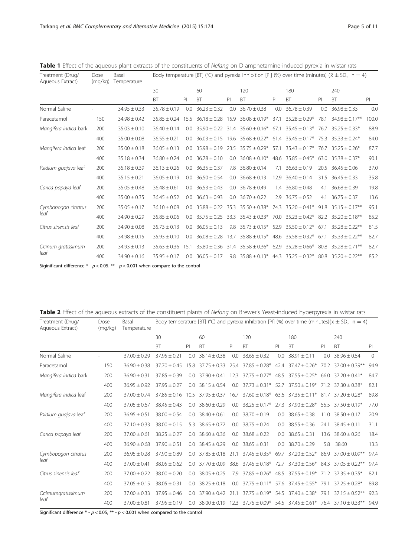| Treatment (Drug/<br>Aqueous Extract) | Dose<br>(mq/kg) | Body temperature [BT] (°C) and pyrexia inhibition [PI] (%) over time (minutes) ( $\bar{x} \pm SD$ , n = 4) |                  |      |                        |      |                                                |      |                          |      |                                                    |       |
|--------------------------------------|-----------------|------------------------------------------------------------------------------------------------------------|------------------|------|------------------------|------|------------------------------------------------|------|--------------------------|------|----------------------------------------------------|-------|
|                                      |                 |                                                                                                            | 30               |      | 60                     |      | 120                                            |      | 180                      |      | 240                                                |       |
|                                      |                 |                                                                                                            | <b>BT</b>        | PI   | <b>BT</b>              | PI   | <b>BT</b>                                      | PI   | BT                       | PI   | BT                                                 | P     |
| Normal Saline                        |                 | $34.95 \pm 0.33$                                                                                           | $35.78 + 0.19$   | 0.0  | $36.23 \pm 0.32$       | 0.0  | $36.70 + 0.38$                                 | 0.0  | $36.78 + 0.39$           | 0.0  | $36.98 + 0.33$                                     | 0.0   |
| Paracetamol                          | 150             | $34.98 \pm 0.42$                                                                                           | $35.85 \pm 0.24$ | 15.5 | $36.18 \pm 0.28$       | 15.9 | $36.08 \pm 0.19*$                              | 37.1 | $35.28 \pm 0.29*$        | 78.1 | $34.98 \pm 0.17***$                                | 100.0 |
| Mangifera indica bark                | 200             | $35.03 \pm 0.10$                                                                                           | $36.40 \pm 0.14$ |      | $0.0$ 35.90 $\pm$ 0.22 |      | $31.4$ $35.60 \pm 0.16^*$                      |      | 67.1 $35.45 \pm 0.13^*$  | 76.7 | $35.25 + 0.33*$                                    | 88.9  |
|                                      | 400             | $35.00 \pm 0.08$                                                                                           | $36.55 \pm 0.21$ |      | $0.0$ 36.03 + 0.15     |      | $19.6$ $35.68 \pm 0.22$ *                      |      | $61.4$ 35.45 $\pm$ 0.17* |      | $75.3$ $35.33 + 0.24*$                             | 84.0  |
| Mangifera indica leaf                | 200             | $35.00 \pm 0.18$                                                                                           | $36.05 \pm 0.13$ |      | $0.0$ 35.98 + 0.19     |      | $23.5$ $35.75 \pm 0.29^*$                      |      | $57.1$ $35.43 + 0.17*$   |      | $76.7$ 35.25 + 0.26*                               | 87.7  |
|                                      | 400             | $35.18 \pm 0.34$                                                                                           | $36.80 \pm 0.24$ | 00   | $36.78 + 0.10$         |      | $0.0$ 36.08 $\pm$ 0.10*                        |      | $48.6$ $35.85 + 0.45*$   |      | $63.0$ $35.38 + 0.37*$                             | 90.1  |
| Psidium guajava leaf                 | 200             | $35.18 \pm 0.39$                                                                                           | $36.13 \pm 0.26$ |      | $0.0$ 36.35 + 0.37     |      | $7.8$ 36.80 + 0.14                             | 7.1  | $36.63 + 0.19$           |      | $20.5$ $36.45 + 0.06$                              | 37.0  |
|                                      | 400             | $35.15 \pm 0.21$                                                                                           | $36.05 \pm 0.19$ | 0.0  | $36.50 \pm 0.54$       |      | $0.0$ 36.68 $\pm$ 0.13                         | 12.9 | $36.40 \pm 0.14$         |      | $31.5$ $36.45 \pm 0.33$                            | 35.8  |
| Carica papaya leaf                   | 200             | $35.05 \pm 0.48$                                                                                           | $36.48 \pm 0.61$ |      | $0.0$ 36.53 $\pm$ 0.43 |      | $0.0$ 36.78 $\pm$ 0.49                         |      | $1.4$ 36.80 $\pm$ 0.48   | 4.1  | $36.68 \pm 0.39$                                   | 19.8  |
|                                      | 400             | $35.00 \pm 0.35$                                                                                           | $36.45 \pm 0.52$ |      | $0.0$ 36.63 $\pm$ 0.93 |      | $0.0$ 36.70 $\pm$ 0.22                         |      | $2.9$ 36.75 $\pm$ 0.52   |      | 4.1 $36.75 \pm 0.37$                               | 13.6  |
| Cymbopogon citratus                  | 200             | $35.05 \pm 0.17$                                                                                           | $36.10 \pm 0.08$ |      |                        |      | $0.0$ 35.88 ± 0.22 35.3 35.50 ± 0.38*          |      |                          |      | 74.3 $35.20 \pm 0.41^*$ 91.8 $35.15 \pm 0.17^{**}$ | 95.1  |
| leaf                                 | 400             | $34.90 \pm 0.29$                                                                                           | $35.85 \pm 0.06$ |      | $0.0$ 35.75 $\pm$ 0.25 |      | 33.3 $35.43 \pm 0.33$ *                        |      | $70.0$ 35.23 ± 0.42*     |      | 82.2 $35.20 \pm 0.18***$                           | 85.2  |
| Citrus sinensis leaf                 | 200             | $34.90 \pm 0.08$                                                                                           | $35.73 \pm 0.13$ | 0.0  | $36.05 \pm 0.13$       |      | 9.8 $35.73 \pm 0.15^*$                         |      | 52.9 35.50 $\pm$ 0.12*   | 67.1 | $35.28 \pm 0.22$ **                                | 81.5  |
|                                      | 400             | $34.98 \pm 0.15$                                                                                           | $35.93 \pm 0.10$ | 0.0  | $36.08 \pm 0.28$       | 13.7 | $35.88 \pm 0.15^*$                             |      | $48.6$ $35.58 + 0.32*$   | 67.1 | $35.33 + 0.22$ **                                  | 82.7  |
| Ocinum gratissimum                   | 200             | $34.93 \pm 0.13$                                                                                           | $35.63 \pm 0.36$ | 15.1 |                        |      | $35.80 \pm 0.36$ 31.4 $35.58 \pm 0.36^*$       | 62.9 | $35.28 \pm 0.66*$        | 80.8 | $35.28 \pm 0.71$ **                                | 82.7  |
| leaf                                 | 400             | $34.90 \pm 0.16$                                                                                           | $35.95 \pm 0.17$ | 0.0  | $36.05 \pm 0.17$       |      | 9.8 $35.88 \pm 0.13$ * 44.3 $35.25 \pm 0.32$ * |      |                          |      | 80.8 35.20 $\pm$ 0.22**                            | 85.2  |

<span id="page-4-0"></span>Table 1 Effect of the aqueous plant extracts of the constituents of Nefang on D-amphetamine-induced pyrexia in wistar rats

Siginificant difference  $* - p < 0.05$ .  $** - p < 0.001$  when compare to the control

| Treatment (Drug/<br>Aqueous Extract) | Dose<br>(mq/kg) | Basal<br>Temperature | Body temperature [BT] (°C) and pyrexia inhibition [PI] (%) over time (minutes)( $\bar{x} \pm SD$ , n = 4) |                |                    |      |                                                        |      |                                               |      |                                                                  |          |  |
|--------------------------------------|-----------------|----------------------|-----------------------------------------------------------------------------------------------------------|----------------|--------------------|------|--------------------------------------------------------|------|-----------------------------------------------|------|------------------------------------------------------------------|----------|--|
|                                      |                 |                      | 30                                                                                                        |                | 60                 |      | 120                                                    |      | 180                                           |      | 240                                                              |          |  |
|                                      |                 |                      | <b>BT</b>                                                                                                 | P              | <b>BT</b>          | P    | <b>BT</b>                                              | P    | <b>BT</b>                                     | P    | <b>BT</b>                                                        | PI       |  |
| Normal Saline                        |                 | $37.00 \pm 0.29$     | $37.95 \pm 0.21$                                                                                          | 0.0            | $38.14 \pm 0.38$   | 0.0  | $38.65 \pm 0.32$                                       | 0.0  | $38.91 \pm 0.11$                              | 0.0  | $38.96 \pm 0.54$                                                 | $\Omega$ |  |
| Paracetamol                          | 150             | $36.90 \pm 0.38$     | $37.70 + 0.45$                                                                                            | 15.8           | $37.75 \pm 0.33$   | 25.4 | $37.85 \pm 0.28$ *                                     | 42.4 | $37.47 \pm 0.26*$                             | 70.2 | $37.00 \pm 0.39**$                                               | 94.9     |  |
| Mangifera indica bark                | 200             | $36.90 \pm 0.31$     | $37.85 + 0.39$                                                                                            | 0.0            | $37.90 \pm 0.41$   | 12.3 | $37.75 \pm 0.27$ *                                     | 48.5 | $37.55 \pm 0.25$ *                            | 66.0 | $37.20 + 0.41*$                                                  | 84.7     |  |
|                                      | 400             | $36.95 \pm 0.92$     | $37.95 + 0.27$                                                                                            | 0.0            | $38.15 + 0.54$     | 0.0  | $37.73 + 0.31*$                                        |      | $52.7$ $37.50 \pm 0.19$ <sup>*</sup>          | 71.2 | $37.30 + 0.38*$                                                  | 82.1     |  |
| Mangifera indica leaf                | 200             | $37.00 \pm 0.74$     | $37.85 + 0.16$                                                                                            | 10.5           | $37.95 + 0.37$     | 16.7 | $37.60 \pm 0.18*$                                      |      | 63.6 $37.35 \pm 0.11$ *                       | 81.7 | $37.20 + 0.28*$                                                  | 89.8     |  |
|                                      | 400             | $37.05 + 0.67$       | $38.45 + 0.43$                                                                                            | 0.0            | $38.60 + 0.29$     | 0.0  | $38.25 + 0.17*$                                        | 27.3 | $37.90 + 0.28*$                               | 55.5 | $37.50 + 0.19*$                                                  | 77.0     |  |
| Psidium guajava leaf                 | 200             | $36.95 \pm 0.51$     | $38.00 \pm 0.54$                                                                                          | 0.0            | $38.40 + 0.61$     | 0.0  | $38.70 \pm 0.19$                                       | 0.0  | $38.65 \pm 0.38$                              | 11.0 | $38.50 \pm 0.17$                                                 | 20.9     |  |
|                                      | 400             | $37.10 \pm 0.33$     | $38.00 \pm 0.15$                                                                                          | 5.3            | $38.65 \pm 0.72$   | 0.0  | $38.75 + 0.24$                                         | 0.0  | $38.55 \pm 0.36$                              | 24.1 | $38.45 + 0.11$                                                   | 31.1     |  |
| Carica papaya leaf                   | 200             | $37.00 \pm 0.61$     | $38.25 \pm 0.27$                                                                                          | 0.0            | $38.60 + 0.36$     | 0.0  | $38.68 \pm 0.22$                                       | 0.0  | $38.65 \pm 0.31$                              | 13.6 | $38.60 \pm 0.26$                                                 | 18.4     |  |
|                                      | 400             | $36.90 \pm 0.68$     | $37.90 + 0.51$                                                                                            | 0.0            | $38.45 \pm 0.29$   | 0.0  | $38.65 \pm 0.31$                                       | 0.0  | $38.70 \pm 0.29$                              | 5.8  | 38.60                                                            | 13.3     |  |
| Cymbopogon citratus                  | 200             | $36.95 \pm 0.28$     | $37.90 \pm 0.89$                                                                                          | 0 <sub>0</sub> | $37.85 \pm 0.18$   | 21.1 | $37.45 \pm 0.35^*$                                     | 69.7 | $37.20 \pm 0.52^*$ 86.9                       |      | $37.00 \pm 0.09$ **                                              | 97.4     |  |
| leaf                                 | 400             | $37.00 \pm 0.41$     | $38.05 \pm 0.62$                                                                                          |                | $0.0$ 37.70 + 0.09 |      | $38.6$ $37.45 \pm 0.18$ $72.7$ $37.30 \pm 0.56$ $84.3$ |      |                                               |      | $37.05 + 0.22$ **                                                | 97.4     |  |
| Citrus sinensis leaf                 | 200             | $37.00 \pm 0.22$     | $38.00 \pm 0.20$                                                                                          | 0.0            | $38.05 + 0.25$     |      | $7.9$ 37.85 $\pm$ 0.26 <sup>*</sup>                    |      | $48.5$ $37.55 + 0.19*$ $71.2$ $37.35 + 0.35*$ |      |                                                                  | 82.1     |  |
|                                      | 400             | $37.05 \pm 0.15$     | $38.05 \pm 0.31$                                                                                          | 0.0            | $38.25 \pm 0.18$   | 0.0  | $37.75 + 0.11*$                                        |      | $57.6$ $37.45 \pm 0.55^*$                     | 79.1 | $37.25 + 0.28*$                                                  | 89.8     |  |
| Ocimumgratissimum                    | 200             | $37.00 \pm 0.33$     | $37.95 \pm 0.46$                                                                                          | 0.0            | $37.90 + 0.42$     | 21.1 | $37.75 \pm 0.19*$                                      |      | 54.5 $37.40 \pm 0.38^*$                       | 79.1 | $37.15 + 0.52**$                                                 | 92.3     |  |
| leaf                                 | 400             | $37.00 \pm 0.81$     | $37.95 \pm 0.19$                                                                                          | 00             | $38.00 + 0.19$     | 12.3 |                                                        |      |                                               |      | $37.75 \pm 0.09*$ 54.5 $37.45 \pm 0.61*$ 76.4 $37.10 \pm 0.33**$ | 94.9     |  |

Significant difference  $*$  -  $p$  < 0.05,  $**$  -  $p$  < 0.001 when compared to the control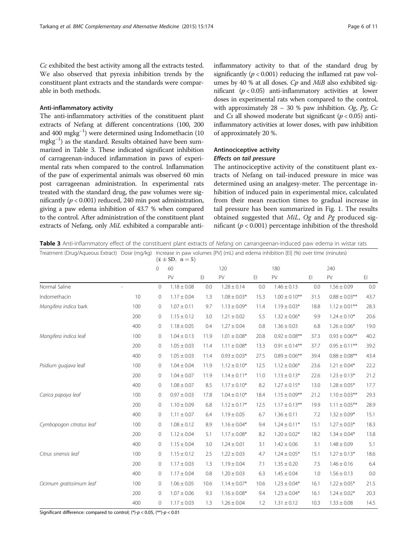Cc exhibited the best activity among all the extracts tested. We also observed that pyrexia inhibition trends by the constituent plant extracts and the standards were comparable in both methods.

# Anti-inflammatory activity

The anti-inflammatory activities of the constituent plant extracts of Nefang at different concentrations (100, 200 and 400 mgkg−<sup>1</sup> ) were determined using Indomethacin (10 mgkg−<sup>1</sup> ) as the standard. Results obtained have been summarized in Table 3. These indicated significant inhibition of carrageenan-induced inflammation in paws of experimental rats when compared to the control. Inflammation of the paw of experimental animals was observed 60 min post carrageenan administration. In experimental rats treated with the standard drug, the paw volumes were significantly ( $p < 0.001$ ) reduced, 240 min post administration, giving a paw edema inhibition of 43.7 % when compared to the control. After administration of the constituent plant extracts of Nefang, only MiL exhibited a comparable antiinflammatory activity to that of the standard drug by significantly ( $p < 0.001$ ) reducing the inflamed rat paw volumes by 40 % at all doses. Cp and MiB also exhibited significant  $(p < 0.05)$  anti-inflammatory activities at lower doses in experimental rats when compared to the control, with approximately  $28 - 30$  % paw inhibition. Og, Pg, Cc and Cs all showed moderate but significant ( $p < 0.05$ ) antiinflammatory activities at lower doses, with paw inhibition of approximately 20 %.

# Antinociceptive activity Effects on tail pressure

The antinociceptive activity of the constituent plant extracts of Nefang on tail-induced pressure in mice was determined using an analgesy-meter. The percentage inhibition of induced pain in experimental mice, calculated from their mean reaction times to gradual increase in tail pressure has been summarized in Fig. [1](#page-6-0). The results obtained suggested that MiL, Og and Pg produced significant ( $p < 0.001$ ) percentage inhibition of the threshold

Table 3 Anti-inflammatory effect of the constituent plant extracts of Nefang on carrangeenan-induced paw edema in wistar rats

| Treatment (Drug/Aqueous Extract) Dose (mg/kg) |     | Increase in paw volumes [PV] (mL) and edema inhibition [EI] (%) over time (minutes)<br>$(\bar{x} \pm SD, n = 5)$ |                 |      |                  |      |                    |      |                    |                        |  |  |  |
|-----------------------------------------------|-----|------------------------------------------------------------------------------------------------------------------|-----------------|------|------------------|------|--------------------|------|--------------------|------------------------|--|--|--|
|                                               |     | 0                                                                                                                | 60              |      | 120              |      | 180                |      | 240                |                        |  |  |  |
|                                               |     |                                                                                                                  | PV              | E1   | PV               | E1   | PV                 | E1   | PV                 | $\mathsf{E}\mathsf{I}$ |  |  |  |
| Normal Saline                                 |     | $\mathbf 0$                                                                                                      | $1.18 \pm 0.08$ | 0.0  | $1.28 \pm 0.14$  | 0.0  | $1.46 \pm 0.13$    | 0.0  | $1.56 \pm 0.09$    | 0.0                    |  |  |  |
| Indomethacin                                  | 10  | 0                                                                                                                | $1.17 \pm 0.04$ | 1.3  | $1.08 \pm 0.03*$ | 15.3 | $1.00 \pm 0.10$ ** | 31.5 | $0.88 \pm 0.03$ ** | 43.7                   |  |  |  |
| Mangifera indica bark                         | 100 | 0                                                                                                                | $1.07 \pm 0.11$ | 9.7  | $1.13 \pm 0.09*$ | 11.4 | $1.19 \pm 0.03*$   | 18.8 | $1.12 \pm 0.01***$ | 28.3                   |  |  |  |
|                                               | 200 | 0                                                                                                                | $1.15 \pm 0.12$ | 3.0  | $1.21 \pm 0.02$  | 5.5  | $1.32 \pm 0.06*$   | 9.9  | $1.24 \pm 0.10*$   | 20.6                   |  |  |  |
|                                               | 400 | 0                                                                                                                | $1.18 \pm 0.05$ | 0.4  | $1.27 \pm 0.04$  | 0.8  | $1.36 \pm 0.03$    | 6.8  | $1.26 \pm 0.06*$   | 19.0                   |  |  |  |
| Mangifera indica leaf                         | 100 | 0                                                                                                                | $1.04 \pm 0.13$ | 11.9 | $1.01 \pm 0.08*$ | 20.8 | $0.92 \pm 0.08$ ** | 37.3 | $0.93 \pm 0.06$ ** | 40.2                   |  |  |  |
|                                               | 200 | $\mathbf 0$                                                                                                      | $1.05 \pm 0.03$ | 11.4 | $1.11 \pm 0.08*$ | 13.3 | $0.91 \pm 0.14***$ | 37.7 | $0.95 \pm 0.11$ ** | 39.2                   |  |  |  |
|                                               | 400 | 0                                                                                                                | $1.05 \pm 0.03$ | 11.4 | $0.93 \pm 0.03*$ | 27.5 | $0.89 \pm 0.06$ ** | 39.4 | $0.88 \pm 0.08$ ** | 43.4                   |  |  |  |
| Psidium guajava leaf                          | 100 | $\mathbf 0$                                                                                                      | $1.04 \pm 0.04$ | 11.9 | $1.12 \pm 0.10*$ | 12.5 | $1.12 \pm 0.06*$   | 23.6 | $1.21 \pm 0.04*$   | 22.2                   |  |  |  |
|                                               | 200 | $\mathbf 0$                                                                                                      | $1.04 \pm 0.07$ | 11.9 | $1.14 \pm 0.11*$ | 11.0 | $1.13 \pm 0.13*$   | 22.6 | $1.23 \pm 0.13*$   | 21.2                   |  |  |  |
|                                               | 400 | 0                                                                                                                | $1.08 \pm 0.07$ | 8.5  | $1.17 \pm 0.10*$ | 8.2  | $1.27 \pm 0.15*$   | 13.0 | $1.28 \pm 0.05*$   | 17.7                   |  |  |  |
| Carica papaya leaf                            | 100 | 0                                                                                                                | $0.97 \pm 0.03$ | 17.8 | $1.04 \pm 0.10*$ | 18.4 | $1.15 \pm 0.09$ ** | 21.2 | $1.10 \pm 0.03$ ** | 29.3                   |  |  |  |
|                                               | 200 | 0                                                                                                                | $1.10 \pm 0.09$ | 6.8  | $1.12 \pm 0.17*$ | 12.5 | $1.17 \pm 0.13***$ | 19.9 | $1.11 \pm 0.05$ ** | 28.9                   |  |  |  |
|                                               | 400 | 0                                                                                                                | $1.11 \pm 0.07$ | 6.4  | $1.19 \pm 0.05$  | 6.7  | $1.36 \pm 0.11$    | 7.2  | $1.32 \pm 0.09*$   | 15.1                   |  |  |  |
| Cymbopogon citratus leaf                      | 100 | 0                                                                                                                | $1.08 \pm 0.12$ | 8.9  | $1.16 \pm 0.04*$ | 9.4  | $1.24 \pm 0.11*$   | 15.1 | $1.27 \pm 0.03*$   | 18.3                   |  |  |  |
|                                               | 200 | 0                                                                                                                | $1.12 \pm 0.04$ | 5.1  | $1.17 \pm 0.08*$ | 8.2  | $1.20 \pm 0.02*$   | 18.2 | $1.34 \pm 0.04*$   | 13.8                   |  |  |  |
|                                               | 400 | $\mathbf 0$                                                                                                      | $1.15 \pm 0.04$ | 3.0  | $1.24 \pm 0.01$  | 3.1  | $1.42 \pm 0.06$    | 3.1  | $1.48 \pm 0.09$    | 5.1                    |  |  |  |
| Citrus sinensis leaf                          | 100 | 0                                                                                                                | $1.15 \pm 0.12$ | 2.5  | $1.22 \pm 0.03$  | 4.7  | $1.24 \pm 0.05*$   | 15.1 | $1.27 \pm 0.13*$   | 18.6                   |  |  |  |
|                                               | 200 | 0                                                                                                                | $1.17 \pm 0.03$ | 1.3  | $1.19 \pm 0.04$  | 7.1  | $1.35 \pm 0.20$    | 7.5  | $1.46 \pm 0.16$    | 6.4                    |  |  |  |
|                                               | 400 | 0                                                                                                                | $1.17 \pm 0.04$ | 0.8  | $1.20 \pm 0.03$  | 6.3  | $1.45 \pm 0.04$    | 1.0  | $1.56 \pm 0.13$    | 0.0                    |  |  |  |
| Ocimum gratissimum leaf                       | 100 | 0                                                                                                                | $1.06 \pm 0.05$ | 10.6 | $1.14 \pm 0.07*$ | 10.6 | $1.23 \pm 0.04*$   | 16.1 | $1.22 \pm 0.05*$   | 21.5                   |  |  |  |
|                                               | 200 | 0                                                                                                                | $1.07 \pm 0.06$ | 9.3  | $1.16 \pm 0.08*$ | 9.4  | $1.23 \pm 0.04*$   | 16.1 | $1.24 \pm 0.02*$   | 20.3                   |  |  |  |
|                                               | 400 | 0                                                                                                                | $1.17 \pm 0.03$ | 1.3  | $1.26 \pm 0.04$  | 1.2  | $1.31 \pm 0.12$    | 10.3 | $1.33 \pm 0.08$    | 14.5                   |  |  |  |

Significant difference: compared to control;  $(*)-p < 0.05$ ,  $(*)-p < 0.01$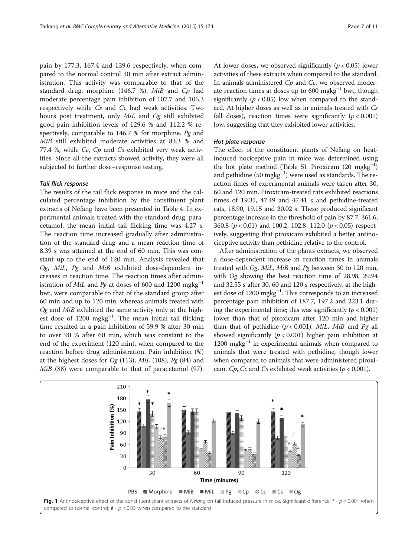<span id="page-6-0"></span>pain by 177.3, 167.4 and 139.6 respectively, when compared to the normal control 30 min after extract administration. This activity was comparable to that of the standard drug, morphine (146.7 %).  $MiB$  and  $Cp$  had moderate percentage pain inhibition of 107.7 and 106.3 respectively while Cs and Cc had weak activities. Two hours post treatment, only MiL and Og still exhibited good pain inhibition levels of 129.6 % and 112.2 % respectively, comparable to 146.7 % for morphine. Pg and MiB still exhibited moderate activities at 83.3 % and 77.4 %, while Cc, Cp and Cs exhibited very weak activities. Since all the extracts showed activity, they were all subjected to further dose–response testing.

#### Tail flick response

The results of the tail flick response in mice and the calculated percentage inhibition by the constituent plant extracts of Nefang have been presented in Table [4](#page-7-0). In experimental animals treated with the standard drug, paracetamol, the mean initial tail flicking time was 4.27 s. The reaction time increased gradually after administration of the standard drug and a mean reaction time of 8.39 s was attained at the end of 60 min. This was constant up to the end of 120 min. Analysis revealed that Og, MiL, Pg and MiB exhibited dose-dependent increases in reaction time. The reaction times after administration of MiL and Pg at doses of 600 and 1200 mgkg<sup>-1</sup> bwt, were comparable to that of the standard group after 60 min and up to 120 min, whereas animals treated with Og and MiB exhibited the same activity only at the highest dose of 1200 mgkg<sup>-1</sup>. The mean initial tail flicking time resulted in a pain inhibition of 59.9 % after 30 min to over 90 % after 60 min, which was constant to the end of the experiment (120 min), when compared to the reaction before drug administration. Pain inhibition (%) at the highest doses for  $Og(113)$ , MiL (108), Pg (84) and MiB (88) were comparable to that of paracetamol (97).

At lower doses, we observed significantly ( $p < 0.05$ ) lower activities of these extracts when compared to the standard. In animals administered  $C_p$  and  $C_c$ , we observed moderate reaction times at doses up to 600 mgkg<sup>-1</sup> bwt, though significantly ( $p < 0.05$ ) low when compared to the standard. At higher doses as well as in animals treated with Cs (all doses), reaction times were significantly  $(p < 0.001)$ low, suggesting that they exhibited lower activities.

# Hot plate response

The effect of the constituent plants of Nefang on heatinduced nociceptive pain in mice was determined using the hot plate method (Table [5](#page-8-0)). Piroxicam (20 mgkg−<sup>1</sup> ) and pethidine (50 mgkg−<sup>1</sup> ) were used as standards. The reaction times of experimental animals were taken after 30, 60 and 120 min. Piroxicam-treated rats exhibited reactions times of 19.31, 47.49 and 47.41 s and pethidine-treated rats, 18.90, 19.15 and 20.02 s. These produced significant percentage increase in the threshold of pain by 87.7, 361.6, 360.8 ( $p < 0.01$ ) and 100.2, 102.8, 112.0 ( $p < 0.05$ ) respectively, suggesting that piroxicam exhibited a better antinociceptive activity than pethidine relative to the control.

After administration of the plants extracts, we observed a dose-dependent increase in reaction times in animals treated with Og, MiL, MiB and Pg between 30 to 120 min, with Og showing the best reaction time of 28.98, 29.94 and 32.55 s after 30, 60 and 120 s respectively, at the highest dose of 1200 mgkg−<sup>1</sup> . This corresponds to an increased percentage pain inhibition of 187.7, 197.2 and 223.1 during the experimental time; this was significantly ( $p < 0.001$ ) lower than that of piroxicam after 120 min and higher than that of pethidine  $(p < 0.001)$ . MiL, MiB and Pg all showed significantly  $(p < 0.001)$  higher pain inhibition at  $1200 \text{ mgkg}^{-1}$  in experimental animals when compared to animals that were treated with pethidine, though lower when compared to animals that were administered piroxicam. Cp, Cc and Cs exhibited weak activities ( $p < 0.001$ ).

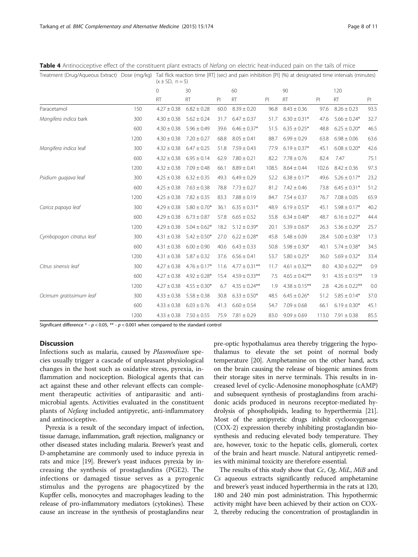| Treatment (Drug/Aqueous Extract) Dose (mg/kg) |      | Tall file reaction time [NT] (Sec) and pain immoluon [FI] (70) at designated time intervals (fillifiutes)<br>$(x \pm SD, n = 5)$ |                   |      |                    |       |                    |       |                    |      |  |  |
|-----------------------------------------------|------|----------------------------------------------------------------------------------------------------------------------------------|-------------------|------|--------------------|-------|--------------------|-------|--------------------|------|--|--|
|                                               |      | 0                                                                                                                                | 30                |      | 60                 |       | 90                 |       | 120                |      |  |  |
|                                               |      | <b>RT</b>                                                                                                                        | <b>RT</b>         | PI   | <b>RT</b>          | PI    | <b>RT</b>          | P     | <b>RT</b>          | PI   |  |  |
| Paracetamol                                   | 150  | $4.27 \pm 0.38$                                                                                                                  | $6.82 \pm 0.28$   | 60.0 | $8.39 \pm 0.20$    | 96.8  | $8.43 \pm 0.36$    | 97.6  | $8.26 \pm 0.23$    | 93.5 |  |  |
| Mangifera indica bark                         | 300  | $4.30 \pm 0.38$                                                                                                                  | $5.62 \pm 0.24$   | 31.7 | $6.47 \pm 0.37$    | 51.7  | $6.30 \pm 0.31*$   | 47.6  | $5.66 \pm 0.24*$   | 32.7 |  |  |
|                                               | 600  | $4.30 \pm 0.38$                                                                                                                  | $5.96 \pm 0.49$   | 39.6 | $6.46 \pm 0.37*$   | 51.5  | $6.35 \pm 0.25*$   | 48.8  | $6.25 \pm 0.20*$   | 46.5 |  |  |
|                                               | 1200 | $4.30 \pm 0.38$                                                                                                                  | $7.20 \pm 0.27$   | 68.8 | $8.05 \pm 0.41$    | 88.7  | $6.99 \pm 0.29$    | 63.8  | $6.98 \pm 0.06$    | 63.6 |  |  |
| Mangifera indica leaf                         | 300  | $4.32 \pm 0.38$                                                                                                                  | $6.47 \pm 0.25$   | 51.8 | $7.59 \pm 0.43$    | 77.9  | $6.19 \pm 0.37*$   | 45.1  | $6.08 \pm 0.20*$   | 42.6 |  |  |
|                                               | 600  | $4.32 \pm 0.38$                                                                                                                  | $6.95 \pm 0.14$   | 62.9 | $7.80 \pm 0.21$    | 82.2  | $7.78 \pm 0.76$    | 82.4  | 7.47               | 75.1 |  |  |
|                                               | 1200 | $4.32 \pm 0.38$                                                                                                                  | $7.09 \pm 0.48$   | 66.1 | $8.89 \pm 0.41$    | 108.5 | $8.64 \pm 0.44$    | 102.6 | $8.42 \pm 0.36$    | 97.3 |  |  |
| Psidium quajava leaf                          | 300  | $4.25 \pm 0.38$                                                                                                                  | $6.32 \pm 0.35$   | 49.3 | $6.49 \pm 0.29$    | 52.2  | $6.38 \pm 0.17*$   | 49.6  | $5.26 \pm 0.17*$   | 23.2 |  |  |
|                                               | 600  | $4.25 \pm 0.38$                                                                                                                  | $7.63 \pm 0.38$   | 78.8 | $7.73 \pm 0.27$    | 81.2  | $7.42 \pm 0.46$    | 73.8  | $6.45 \pm 0.31*$   | 51.2 |  |  |
|                                               | 1200 | $4.25 \pm 0.38$                                                                                                                  | $7.82 \pm 0.35$   | 83.3 | $7.88 \pm 0.19$    | 84.7  | $7.54 \pm 0.37$    | 76.7  | $7.08 \pm 0.05$    | 65.9 |  |  |
| Carica papaya leaf                            | 300  | $4.29 \pm 0.38$                                                                                                                  | $5.80 \pm 0.70*$  | 36.1 | $6.35 \pm 0.31*$   | 48.9  | $6.19 \pm 0.53*$   | 45.1  | $5.98 \pm 0.17*$   | 40.2 |  |  |
|                                               | 600  | $4.29 \pm 0.38$                                                                                                                  | $6.73 \pm 0.87$   | 57.8 | $6.65 \pm 0.52$    | 55.8  | $6.34 \pm 0.48*$   | 48.7  | $6.16 \pm 0.27*$   | 44.4 |  |  |
|                                               | 1200 | $4.29 \pm 0.38$                                                                                                                  | $5.04 \pm 0.62*$  | 18.2 | $5.12 \pm 0.39*$   | 20.1  | $5.39 \pm 0.63*$   | 26.3  | $5.36 \pm 0.29*$   | 25.7 |  |  |
| Cymbopogon citratus leaf                      | 300  | $4.31 \pm 0.38$                                                                                                                  | $5.42 \pm 0.50*$  | 27.0 | $6.22 \pm 0.28$ *  | 45.8  | $5.48 \pm 0.09$    | 28.4  | $5.00 \pm 0.38*$   | 17.3 |  |  |
|                                               | 600  | $4.31 \pm 0.38$                                                                                                                  | $6.00 \pm 0.90$   | 40.6 | $6.43 \pm 0.33$    | 50.8  | $5.98 \pm 0.30*$   | 40.1  | $5.74 \pm 0.38*$   | 34.5 |  |  |
|                                               | 1200 | $4.31 \pm 0.38$                                                                                                                  | $5.87 \pm 0.32$   | 37.6 | $6.56 \pm 0.41$    | 53.7  | $5.80 \pm 0.25*$   | 36.0  | $5.69 \pm 0.32*$   | 33.4 |  |  |
| Citrus sinensis leaf                          | 300  | $4.27 \pm 0.38$                                                                                                                  | $4.76 \pm 0.17*$  | 11.6 | $4.77 \pm 0.31***$ | 11.7  | $4.61 \pm 0.32$ ** | 8.0   | $4.30 \pm 0.22$ ** | 0.9  |  |  |
|                                               | 600  | $4.27 \pm 0.38$                                                                                                                  | $4.92 \pm 0.28$ * | 15.4 | $4.59 \pm 0.33$ ** | 7.5   | $4.65 \pm 0.42$ ** | 9.1   | $4.35 \pm 0.15$ ** | 1.9  |  |  |
|                                               | 1200 | $4.27 \pm 0.38$                                                                                                                  | $4.55 \pm 0.30*$  | 6.7  | $4.35 \pm 0.24$ ** | 1.9   | $4.38 \pm 0.15$ ** | 2.8   | $4.26 \pm 0.22$ ** | 0.0  |  |  |
| Ocimum gratissimum leaf                       | 300  | $4.33 \pm 0.38$                                                                                                                  | $5.58 \pm 0.38$   | 30.8 | $6.33 \pm 0.50*$   | 48.5  | $6.45 \pm 0.26*$   | 51.2  | $5.85 \pm 0.14*$   | 37.0 |  |  |
|                                               | 600  | $4.33 \pm 0.38$                                                                                                                  | $6.03 \pm 0.76$   | 41.3 | $6.60 \pm 0.54$    | 54.7  | $7.09 \pm 0.68$    | 66.1  | $6.19 \pm 0.30*$   | 45.1 |  |  |
|                                               | 1200 | $4.33 \pm 0.38$                                                                                                                  | $7.50 \pm 0.55$   | 75.9 | $7.81 \pm 0.29$    | 83.0  | $9.09 \pm 0.69$    | 113.0 | $7.91 \pm 0.38$    | 85.5 |  |  |

<span id="page-7-0"></span>Table 4 Antinociceptive effect of the constituent plant extracts of Nefang on electric heat-induced pain on the tails of mice

Treatment (Drug/Aqueous Extract) Dose (mg/kg) Tail flick reaction time [RT] (sec) and pain inhibition [PI] (%) at designated time intervals (minutes)

Significant difference  $*$  -  $p$  < 0.05,  $**$  -  $p$  < 0.001 when compared to the standard control

# **Discussion**

Infections such as malaria, caused by Plasmodium species usually trigger a cascade of unpleasant physiological changes in the host such as oxidative stress, pyrexia, inflammation and nociception. Biological agents that can act against these and other relevant effects can complement therapeutic activities of antiparasitic and antimicrobial agents. Activities evaluated in the constituent plants of Nefang included antipyretic, anti-inflammatory and antinociceptive.

Pyrexia is a result of the secondary impact of infection, tissue damage, inflammation, graft rejection, malignancy or other diseased states including malaria. Brewer's yeast and D-amphetamine are commonly used to induce pyrexia in rats and mice [\[19\]](#page-10-0). Brewer's yeast induces pyrexia by increasing the synthesis of prostaglandins (PGE2). The infections or damaged tissue serves as a pyrogenic stimulus and the pyrogens are phagocytized by the Kupffer cells, monocytes and macrophages leading to the release of pro-inflammatory mediators (cytokines). These cause an increase in the synthesis of prostaglandins near

pre-optic hypothalamus area thereby triggering the hypothalamus to elevate the set point of normal body temperature [[20](#page-10-0)]. Amphetamine on the other hand, acts on the brain causing the release of biogenic amines from their storage sites in nerve terminals. This results in increased level of cyclic-Adenosine monophosphate (cAMP) and subsequent synthesis of prostaglandins from arachidonic acids produced in neurons receptor-mediated hydrolysis of phospholipids, leading to hyperthermia [[21](#page-10-0)]. Most of the antipyretic drugs inhibit cyclooxygenase (COX-2) expression thereby inhibiting prostaglandin biosynthesis and reducing elevated body temperature. They are, however, toxic to the hepatic cells, glomeruli, cortex of the brain and heart muscle. Natural antipyretic remedies with minimal toxicity are therefore essential.

The results of this study show that Cc, Og, MiL, MiB and Cs aqueous extracts significantly reduced amphetamine and brewer's yeast induced hyperthermia in the rats at 120, 180 and 240 min post administration. This hypothermic activity might have been achieved by their action on COX-2, thereby reducing the concentration of prostaglandin in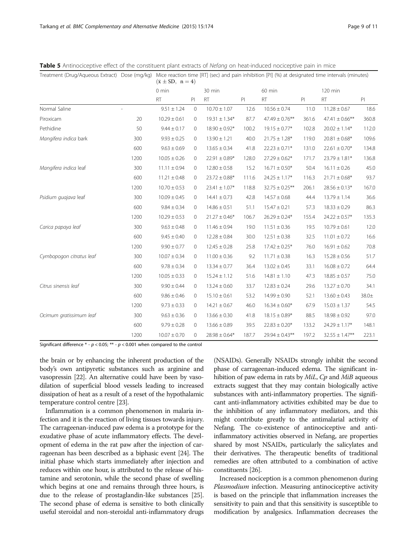| Treatment (Drug/Aqueous Extract) Dose (mg/kg) |      | Mice reaction time [RT] (sec) and pain inhibition [PI] (%) at designated time intervals (minutes)<br>$(\bar{x} \pm SD, n = 4)$ |              |                   |       |                     |       |                     |       |  |  |  |
|-----------------------------------------------|------|--------------------------------------------------------------------------------------------------------------------------------|--------------|-------------------|-------|---------------------|-------|---------------------|-------|--|--|--|
|                                               |      | $0 \text{ min}$                                                                                                                |              | 30 min            |       | 60 min              |       |                     |       |  |  |  |
|                                               |      | <b>RT</b>                                                                                                                      | PI           | <b>RT</b>         | PI    | <b>RT</b>           | PI    | <b>RT</b>           | P     |  |  |  |
| Normal Saline                                 |      | $9.51 \pm 1.24$                                                                                                                | $\mathbf{0}$ | $10.70 \pm 1.07$  | 12.6  | $10.56 \pm 0.74$    | 11.0  | $11.28 \pm 0.67$    | 18.6  |  |  |  |
| Piroxicam                                     | 20   | $10.29 \pm 0.61$                                                                                                               | $\mathbf{0}$ | $19.31 \pm 1.34*$ | 87.7  | $47.49 \pm 0.76***$ | 361.6 | $47.41 \pm 0.66$ ** | 360.8 |  |  |  |
| Pethidine                                     | 50   | $9.44 \pm 0.17$                                                                                                                | $\circ$      | $18.90 \pm 0.92*$ | 100.2 | $19.15 \pm 0.77*$   | 102.8 | $20.02 \pm 1.14*$   | 112.0 |  |  |  |
| Mangifera indica bark                         | 300  | $9.93 \pm 0.25$                                                                                                                | $\Omega$     | $13.90 \pm 1.21$  | 40.0  | $21.75 \pm 1.28*$   | 119.0 | $20.81 \pm 0.68$ *  | 109.6 |  |  |  |
|                                               | 600  | $9.63 \pm 0.69$                                                                                                                | $\circ$      | $13.65 \pm 0.34$  | 41.8  | $22.23 \pm 0.71*$   | 131.0 | $22.61 \pm 0.70*$   | 134.8 |  |  |  |
|                                               | 1200 | $10.05 \pm 0.26$                                                                                                               | $\mathbf{0}$ | $22.91 \pm 0.89*$ | 128.0 | $27.29 \pm 0.62*$   | 171.7 | $23.79 \pm 1.81*$   | 136.8 |  |  |  |
| Mangifera indica leaf                         | 300  | $11.11 \pm 0.94$                                                                                                               | $\mathbf 0$  | $12.80 \pm 0.58$  | 15.2  | $16.71 \pm 0.50*$   | 50.4  | $16.11 \pm 0.26$    | 45.0  |  |  |  |
|                                               | 600  | $11.21 \pm 0.48$                                                                                                               | 0            | $23.72 \pm 0.88*$ | 111.6 | $24.25 \pm 1.17*$   | 116.3 | $21.71 \pm 0.68*$   | 93.7  |  |  |  |
|                                               | 1200 | $10.70 \pm 0.53$                                                                                                               | 0            | $23.41 \pm 1.07*$ | 118.8 | $32.75 \pm 0.25$ ** | 206.1 | $28.56 \pm 0.13*$   | 167.0 |  |  |  |
| Psidium guajava leaf                          | 300  | $10.09 \pm 0.45$                                                                                                               | $\mathbf{0}$ | $14.41 \pm 0.73$  | 42.8  | $14.57 \pm 0.68$    | 44.4  | $13.79 \pm 1.14$    | 36.6  |  |  |  |
|                                               | 600  | $9.84 \pm 0.34$                                                                                                                | 0            | $14.86 \pm 0.51$  | 51.1  | $15.47 \pm 0.21$    | 57.3  | $18.33 \pm 0.29$    | 86.3  |  |  |  |
|                                               | 1200 | $10.29 \pm 0.53$                                                                                                               | 0            | $21.27 \pm 0.46*$ | 106.7 | $26.29 \pm 0.24*$   | 155.4 | $24.22 \pm 0.57*$   | 135.3 |  |  |  |
| Carica papaya leaf                            | 300  | $9.63 \pm 0.48$                                                                                                                | $\mathbf{0}$ | $11.46 \pm 0.94$  | 19.0  | $11.51 \pm 0.36$    | 19.5  | $10.79 \pm 0.61$    | 12.0  |  |  |  |
|                                               | 600  | $9.45 \pm 0.40$                                                                                                                | 0            | $12.28 \pm 0.84$  | 30.0  | $12.51 \pm 0.38$    | 32.5  | $11.01 \pm 0.72$    | 16.6  |  |  |  |
|                                               | 1200 | $9.90 \pm 0.77$                                                                                                                | $\mathbf{0}$ | $12.45 \pm 0.28$  | 25.8  | $17.42 \pm 0.25$ *  | 76.0  | $16.91 \pm 0.62$    | 70.8  |  |  |  |
| Cymbopogon citratus leaf                      | 300  | $10.07 \pm 0.34$                                                                                                               | $\circ$      | $11.00 \pm 0.36$  | 9.2   | $11.71 \pm 0.38$    | 16.3  | $15.28 \pm 0.56$    | 51.7  |  |  |  |
|                                               | 600  | $9.78 \pm 0.34$                                                                                                                | 0            | $13.34 \pm 0.77$  | 36.4  | $13.02 \pm 0.45$    | 33.1  | $16.08 \pm 0.72$    | 64.4  |  |  |  |
|                                               | 1200 | $10.05 \pm 0.33$                                                                                                               | $\circ$      | $15.24 \pm 1.12$  | 51.6  | $14.81 \pm 1.10$    | 47.3  | $18.85 \pm 0.57$    | 75.0  |  |  |  |
| Citrus sinensis leaf                          | 300  | $9.90 \pm 0.44$                                                                                                                | $\circ$      | $13.24 \pm 0.60$  | 33.7  | $12.83 \pm 0.24$    | 29.6  | $13.27 \pm 0.70$    | 34.1  |  |  |  |
|                                               | 600  | $9.86 \pm 0.46$                                                                                                                | $\circ$      | $15.10 \pm 0.61$  | 53.2  | $14.99 \pm 0.90$    | 52.1  | $13.60 \pm 0.43$    | 38.0± |  |  |  |
|                                               | 1200 | $9.73 \pm 0.33$                                                                                                                | $\circ$      | $14.21 \pm 0.67$  | 46.0  | $16.34 \pm 0.60*$   | 67.9  | $15.03 \pm 1.37$    | 54.5  |  |  |  |
| Ocimum gratissimum leaf                       | 300  | $9.63 \pm 0.36$                                                                                                                | $\mathbf{0}$ | $13.66 \pm 0.30$  | 41.8  | $18.15 \pm 0.89*$   | 88.5  | $18.98 \pm 0.92$    | 97.0  |  |  |  |
|                                               | 600  | $9.79 \pm 0.28$                                                                                                                | $\mathbf{0}$ | $13.66 \pm 0.89$  | 39.5  | $22.83 \pm 0.20*$   | 133.2 | $24.29 \pm 1.17*$   | 148.1 |  |  |  |
|                                               | 1200 | $10.07 \pm 0.70$                                                                                                               | $\circ$      | $28.98 \pm 0.64*$ | 187.7 | $29.94 \pm 0.43$ ** | 197.2 | $32.55 \pm 1.47***$ | 223.1 |  |  |  |

<span id="page-8-0"></span>Table 5 Antinociceptive effect of the constituent plant extracts of Nefang on heat-induced nociceptive pain in mice

Significant difference  $*$  -  $p$  < 0.05;  $**$  -  $p$  < 0.001 when compared to the control

the brain or by enhancing the inherent production of the body's own antipyretic substances such as arginine and vasopressin [\[22](#page-10-0)]. An alternative could have been by vasodilation of superficial blood vessels leading to increased dissipation of heat as a result of a reset of the hypothalamic temperature control centre [\[23\]](#page-10-0).

Inflammation is a common phenomenon in malaria infection and it is the reaction of living tissues towards injury. The carrageenan-induced paw edema is a prototype for the exudative phase of acute inflammatory effects. The development of edema in the rat paw after the injection of carrageenan has been described as a biphasic event [[24](#page-10-0)]. The initial phase which starts immediately after injection and reduces within one hour, is attributed to the release of histamine and serotonin, while the second phase of swelling which begins at one and remains through three hours, is due to the release of prostaglandin-like substances [\[25](#page-10-0)]. The second phase of edema is sensitive to both clinically useful steroidal and non-steroidal anti-inflammatory drugs

(NSAIDs). Generally NSAIDs strongly inhibit the second phase of carrageenan-induced edema. The significant inhibition of paw edema in rats by  $Mil$ ,  $Cp$  and  $MiB$  aqueous extracts suggest that they may contain biologically active substances with anti-inflammatory properties. The significant anti-inflammatory activities exhibited may be due to the inhibition of any inflammatory mediators, and this might contribute greatly to the antimalarial activity of Nefang. The co-existence of antinociceptive and antiinflammatory activities observed in Nefang, are properties shared by most NSAIDs, particularly the salicylates and their derivatives. The therapeutic benefits of traditional remedies are often attributed to a combination of active constituents [\[26\]](#page-10-0).

Increased nociception is a common phenomenon during Plasmodium infection. Measuring antinociceptive activity is based on the principle that inflammation increases the sensitivity to pain and that this sensitivity is susceptible to modification by analgesics. Inflammation decreases the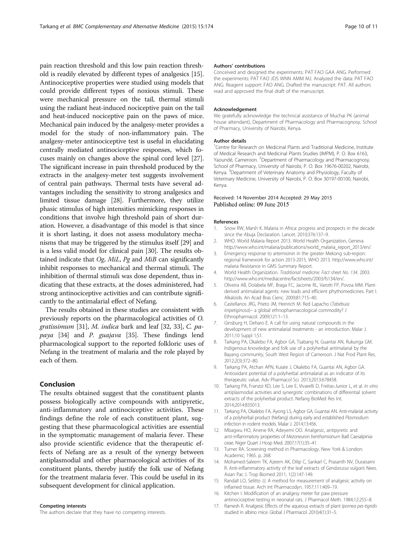<span id="page-9-0"></span>pain reaction threshold and this low pain reaction threshold is readily elevated by different types of analgesics [15]. Antinociceptive properties were studied using models that could provide different types of noxious stimuli. These were mechanical pressure on the tail, thermal stimuli using the radiant heat-induced nociceptive pain on the tail and heat-induced nociceptive pain on the paws of mice. Mechanical pain induced by the analgesy-meter provides a model for the study of non-inflammatory pain. The analgesy-meter antinociceptive test is useful in elucidating centrally mediated antinociceptive responses, which focuses mainly on changes above the spinal cord level [[27](#page-10-0)]. The significant increase in pain threshold produced by the extracts in the analgesy-meter test suggests involvement of central pain pathways. Thermal tests have several advantages including the sensitivity to strong analgesics and limited tissue damage [\[28\]](#page-10-0). Furthermore, they utilize phasic stimulus of high intensities mimicking responses in conditions that involve high threshold pain of short duration. However, a disadvantage of this model is that since it is short lasting, it does not assess modulatory mechanisms that may be triggered by the stimulus itself [\[29\]](#page-10-0) and is a less valid model for clinical pain [[30](#page-10-0)]. The results obtained indicate that  $Og$ , MiL, Pg and MiB can significantly inhibit responses to mechanical and thermal stimuli. The inhibition of thermal stimuli was dose dependent, thus indicating that these extracts, at the doses administered, had strong antinociceptive activities and can contribute significantly to the antimalarial effect of Nefang.

The results obtained in these studies are consistent with previously reports on the pharmacological activities of O. gratissimum [\[31\]](#page-10-0), M. indica bark and leaf [\[32, 33\]](#page-10-0), C. pa-paya [\[34\]](#page-10-0) and P. guajava [[35](#page-10-0)]. These findings lend pharmacological support to the reported folkloric uses of Nefang in the treatment of malaria and the role played by each of them.

# Conclusion

The results obtained suggest that the constituent plants possess biologically active compounds with antipyretic, anti-inflammatory and antinociceptive activities. These findings define the role of each constituent plant, suggesting that these pharmacological activities are essential in the symptomatic management of malaria fever. These also provide scientific evidence that the therapeutic effects of Nefang are as a result of the synergy between antiplasmodial and other pharmacological activities of its constituent plants, thereby justify the folk use of Nefang for the treatment malaria fever. This could be useful in its subsequent development for clinical application.

#### Competing interests

The authors declare that they have no competing interests.

#### Authors' contributions

Conceived and designed the experiments: PAT FAO GAA ANG. Performed the experiments: PAT FAO JDS WNN AMM MJ. Analyzed the data: PAT FAO ANG. Reagent support: FAO ANG. Drafted the manuscript: PAT. All authors read and approved the final draft of the manuscript.

#### Acknowledgement

We gratefully acknowledge the technical assistance of Muchai PK (animal house attendant), Department of Pharmacology and Pharmacognosy, School of Pharmacy, University of Nairobi, Kenya.

#### Author details

<sup>1</sup> Centre for Research on Medicinal Plants and Traditional Medicine, Institute of Medical Research and Medicinal Plants Studies (IMPM), P. O. Box 6163, Yaoundé, Cameroon. <sup>2</sup> Department of Pharmacology and Pharmacognosy, School of Pharmacy, University of Nairobi, P. O. Box 19676-00202, Nairobi, Kenya. <sup>3</sup>Department of Veterinary Anatomy and Physiology, Faculty of Veterinary Medicine, University of Nairobi, P. O. Box 30197-00100, Nairobi, Kenya.

#### Received: 14 November 2014 Accepted: 29 May 2015 Published online: 09 June 2015

#### References

- 1. Snow RW, Marsh K. Malaria in Africa: progress and prospects in the decade since the Abuja Declaration. Lancet. 2010:376:137-9.
- 2. WHO. World Malaria Report 2013. World Health Organization, Geneva. [http://www.who.int/malaria/publications/world\\_malaria\\_report\\_2013/en/](http://www.who.int/malaria/publications/world_malaria_report_2013/en/).
- 3. Emergency response to artemisinin in the greater Mekong sub-region: regional framework for action 2013-2015. WHO 2013. [http://www.who.int/](http://www.who.int/malaria) [malaria](http://www.who.int/malaria) Resistance in GMS Summary Report.
- 4. World Health Organization. Traditional medicine. Fact sheet No. 134. 2003. [http://www.who.int/mediacentre/factsheets/2003/fs134/en/.](http://www.who.int/mediacentre/factsheets/2003/fs134/en/)
- 5. Oliveira AB, Dolabela MF, Braga FC, Jacome RL, Varotti FP, Povoa MM. Plantderived antimalarial agents: new leads and efficient phythomedicines. Part I. Alkaloids. An Acad Bras Cienc. 2009;81:715–40.
- 6. Castellanos JRG, Prieto JM, Heinrich M. Red Lapacho (Tabebuia impetiginosa)– a global ethnopharmacological commodity? J Ethnopharmacol. 2009;121:1–13.
- 7. Ginsburg H, Deharo E. A call for using natural compounds in the development of new antimalarial treatments - an introduction. Malar J. 2011;10 Suppl 1:S1.
- 8. Tarkang PA, Okalebo FA, Agbor GA, Tsabang N, Guantai AN, Rukunga GM. Indigenous knowledge and folk use of a polyherbal antimalarial by the Bayang community, South West Region of Cameroon. J Nat Prod Plant Res. 2012;2(3):372–80.
- 9. Tarkang PA, Atchan APN, Kuiate J, Okalebo FA, Guantai AN, Agbor GA. Antioxidant potential of a polyherbal antimalarial as an indicator of its therapeutic value. Adv Pharmacol Sci. 2013;2013:678458.
- 10. Tarkang PA, Franzoi KD, Lee S, Lee E, Vivarelli D, Freitas-Junior L, et al. In vitro antiplasmodial activities and synergistic combinations of differential solvent extracts of the polyherbal product. Nefang BioMed Res Int. 2014;2014:835013.
- 11. Tarkang PA, Okalebo FA, Ayong LS, Agbor GA, Guantai AN. Anti-malarial activity of a polyherbal product (Nefang) during early and established Plasmodium infection in rodent models. Malar J. 2014;13:456.
- 12. Mbagwu HO, Anene RA, Adeyemi OO. Analgesic, antipyretic and anti-inflammatory properties of Mezoneuron benthamianum Baill Caesalpiniaceae. Niger Quart J Hosp Med. 2007;17(1):35–41.
- 13. Turner RA. Screening method in Pharmacology. New York & London: Academic; 1965. p. 268.
- 14. Mohamed-Saleem TK, Azeem AK, Dilip C, Sankarl C, Prasanth NV, Duraisami R. Anti-inflammatory activity of the leaf extracts of Gendarussa vulgaris Nees. Asian Pac J. Trop Biomed 2011, 1(2):147-149.
- 15. Randall LO, Selitto JJ. A method for measurement of analgesic activity on inflamed tissue. Arch Int Pharmacodyn. 1957;111:409–19.
- 16. Kitchen I. Modification of an analgesy meter for paw pressure antinociceptive testing in neonatal rats. J Pharmacol Meth. 1984;12:255–8.
- 17. Ramesh R. Analgesic Effects of the aqueous extracts of plant Ipomea pes-tigridis studied in albino mice. Global J Pharmacol. 2010;4(1):31–5.